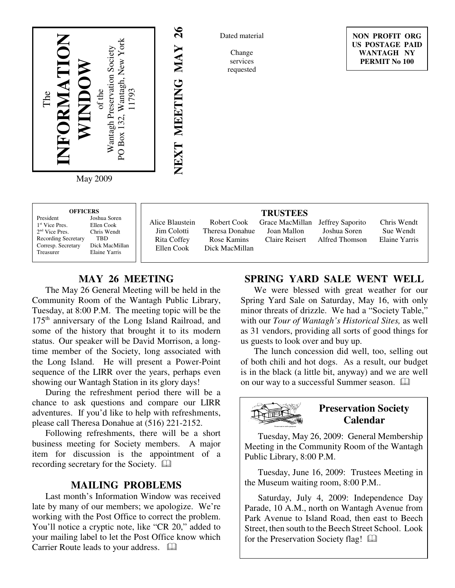

May 2009

| <b>OFFICERS</b><br>President<br>Joshua Soren<br>1 <sup>st</sup> Vice Pres.<br>Ellen Cook<br>$2nd$ Vice Pres.<br>Chris Wendt<br><b>Recording Secretary</b><br>TBD | Alice Blaustein<br>Jim Colotti<br>Rita Coffey | Robert Cook<br>Theresa Donahue<br>Rose Kamins | <b>TRUSTEES</b><br>Grace MacMillan<br>Joan Mallon<br>Claire Reisert | Jeffrey Saporito<br>Joshua Soren<br>Alfred Thomson | Chris Wendt<br>Sue Wendt<br>Elaine Yarris |
|------------------------------------------------------------------------------------------------------------------------------------------------------------------|-----------------------------------------------|-----------------------------------------------|---------------------------------------------------------------------|----------------------------------------------------|-------------------------------------------|
| Dick MacMillan<br>Corresp. Secretary<br>Elaine Yarris<br>Treasurer                                                                                               | Ellen Cook                                    | Dick MacMillan                                |                                                                     |                                                    |                                           |

# **MAY 26 MEETING**

The May 26 General Meeting will be held in the Community Room of the Wantagh Public Library, Tuesday, at 8:00 P.M. The meeting topic will be the 175<sup>th</sup> anniversary of the Long Island Railroad, and some of the history that brought it to its modern status. Our speaker will be David Morrison, a longtime member of the Society, long associated with the Long Island. He will present a Power-Point sequence of the LIRR over the years, perhaps even showing our Wantagh Station in its glory days!

During the refreshment period there will be a chance to ask questions and compare our LIRR adventures. If you'd like to help with refreshments, please call Theresa Donahue at (516) 221-2152.

Following refreshments, there will be a short business meeting for Society members. A major item for discussion is the appointment of a recording secretary for the Society.

### **MAILING PROBLEMS**

Last month's Information Window was received late by many of our members; we apologize. We're working with the Post Office to correct the problem. You'll notice a cryptic note, like "CR 20," added to your mailing label to let the Post Office know which Carrier Route leads to your address.  $\square$ 

### **SPRING YARD SALE WENT WELL**

We were blessed with great weather for our Spring Yard Sale on Saturday, May 16, with only minor threats of drizzle. We had a "Society Table," with our *Tour of Wantagh's Historical Sites,* as well as 31 vendors, providing all sorts of good things for us guests to look over and buy up.

The lunch concession did well, too, selling out of both chili and hot dogs. As a result, our budget is in the black (a little bit, anyway) and we are well on our way to a successful Summer season.



Tuesday, May 26, 2009: General Membership Meeting in the Community Room of the Wantagh Public Library, 8:00 P.M.

Tuesday, June 16, 2009: Trustees Meeting in the Museum waiting room, 8:00 P.M..

Saturday, July 4, 2009: Independence Day Parade, 10 A.M., north on Wantagh Avenue from Park Avenue to Island Road, then east to Beech Street, then south to the Beech Street School. Look for the Preservation Society flag!

Dated material

Change services requested

**NEXT MEETING MAY 26**

NEXT MEETING MAY 26

**NON PROFIT ORG US POSTAGE PAID WANTAGH NY PERMIT No 100**